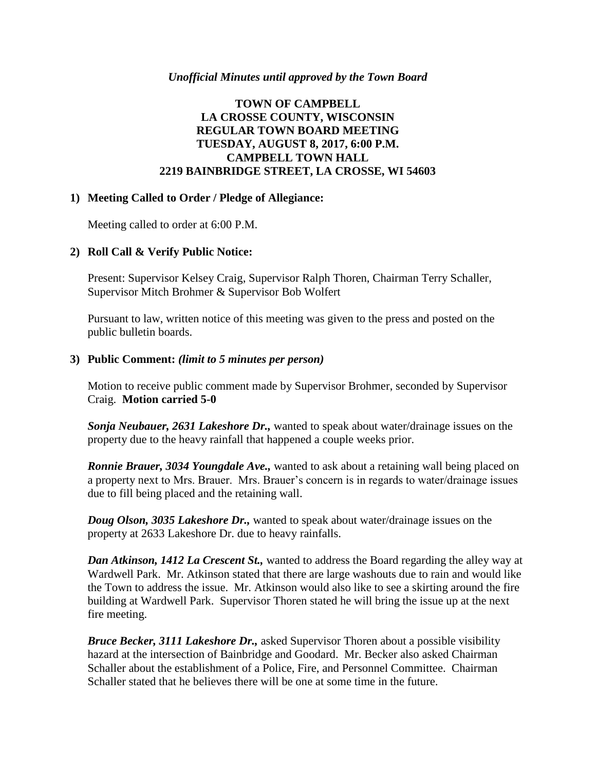#### *Unofficial Minutes until approved by the Town Board*

# **TOWN OF CAMPBELL LA CROSSE COUNTY, WISCONSIN REGULAR TOWN BOARD MEETING TUESDAY, AUGUST 8, 2017, 6:00 P.M. CAMPBELL TOWN HALL 2219 BAINBRIDGE STREET, LA CROSSE, WI 54603**

#### **1) Meeting Called to Order / Pledge of Allegiance:**

Meeting called to order at 6:00 P.M.

#### **2) Roll Call & Verify Public Notice:**

Present: Supervisor Kelsey Craig, Supervisor Ralph Thoren, Chairman Terry Schaller, Supervisor Mitch Brohmer & Supervisor Bob Wolfert

Pursuant to law, written notice of this meeting was given to the press and posted on the public bulletin boards.

#### **3) Public Comment:** *(limit to 5 minutes per person)*

Motion to receive public comment made by Supervisor Brohmer, seconded by Supervisor Craig. **Motion carried 5-0**

*Sonja Neubauer, 2631 Lakeshore Dr.,* wanted to speak about water/drainage issues on the property due to the heavy rainfall that happened a couple weeks prior.

*Ronnie Brauer, 3034 Youngdale Ave.,* wanted to ask about a retaining wall being placed on a property next to Mrs. Brauer. Mrs. Brauer's concern is in regards to water/drainage issues due to fill being placed and the retaining wall.

*Doug Olson, 3035 Lakeshore Dr.,* wanted to speak about water/drainage issues on the property at 2633 Lakeshore Dr. due to heavy rainfalls.

*Dan Atkinson, 1412 La Crescent St.,* wanted to address the Board regarding the alley way at Wardwell Park. Mr. Atkinson stated that there are large washouts due to rain and would like the Town to address the issue. Mr. Atkinson would also like to see a skirting around the fire building at Wardwell Park. Supervisor Thoren stated he will bring the issue up at the next fire meeting.

*Bruce Becker, 3111 Lakeshore Dr.,* asked Supervisor Thoren about a possible visibility hazard at the intersection of Bainbridge and Goodard. Mr. Becker also asked Chairman Schaller about the establishment of a Police, Fire, and Personnel Committee. Chairman Schaller stated that he believes there will be one at some time in the future.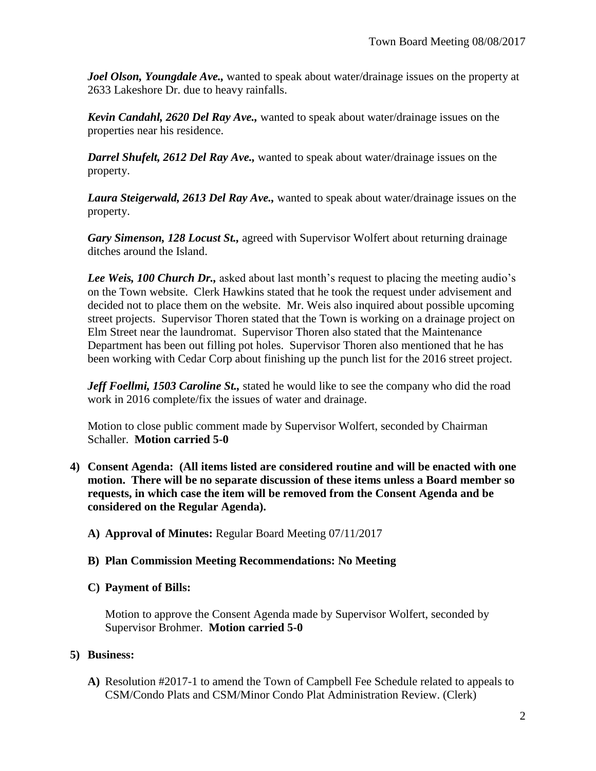*Joel Olson, Youngdale Ave.,* wanted to speak about water/drainage issues on the property at 2633 Lakeshore Dr. due to heavy rainfalls.

*Kevin Candahl, 2620 Del Ray Ave.,* wanted to speak about water/drainage issues on the properties near his residence.

*Darrel Shufelt, 2612 Del Ray Ave.,* wanted to speak about water/drainage issues on the property.

*Laura Steigerwald, 2613 Del Ray Ave.,* wanted to speak about water/drainage issues on the property.

*Gary Simenson, 128 Locust St.,* agreed with Supervisor Wolfert about returning drainage ditches around the Island.

*Lee Weis, 100 Church Dr.,* asked about last month's request to placing the meeting audio's on the Town website. Clerk Hawkins stated that he took the request under advisement and decided not to place them on the website. Mr. Weis also inquired about possible upcoming street projects. Supervisor Thoren stated that the Town is working on a drainage project on Elm Street near the laundromat. Supervisor Thoren also stated that the Maintenance Department has been out filling pot holes. Supervisor Thoren also mentioned that he has been working with Cedar Corp about finishing up the punch list for the 2016 street project.

*Jeff Foellmi, 1503 Caroline St.,* stated he would like to see the company who did the road work in 2016 complete/fix the issues of water and drainage.

Motion to close public comment made by Supervisor Wolfert, seconded by Chairman Schaller. **Motion carried 5-0**

- **4) Consent Agenda: (All items listed are considered routine and will be enacted with one motion. There will be no separate discussion of these items unless a Board member so requests, in which case the item will be removed from the Consent Agenda and be considered on the Regular Agenda).**
	- **A) Approval of Minutes:** Regular Board Meeting 07/11/2017

# **B) Plan Commission Meeting Recommendations: No Meeting**

# **C) Payment of Bills:**

Motion to approve the Consent Agenda made by Supervisor Wolfert, seconded by Supervisor Brohmer. **Motion carried 5-0**

# **5) Business:**

**A)** Resolution #2017-1 to amend the Town of Campbell Fee Schedule related to appeals to CSM/Condo Plats and CSM/Minor Condo Plat Administration Review. (Clerk)